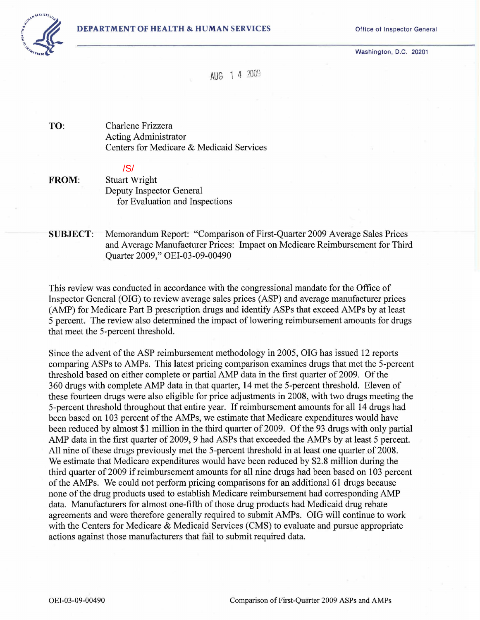

Washington, D.C. 20201



AUG 1 4 2009

TO: Charlene Frizzera Acting Administrator Centers for Medicare & Medicaid Services

# /S/

FROM: Stuart Wright Deputy Inspector General for Evaluation and Inspections

SUBJECT: Memorandum Report: "Comparison of First-Quarter 2009 Average Sales Prices and Average Manufacturer Prices: Impact on Medicare Reimbursement for Third Quarter 2009," OEI-03-09-00490

This review was conducted in accordance with the congressional mandate for the Office of Inspector General (OIG) to review average sales prices (ASP) and average manufacturer prices (AMP) for Medicare Part B prescription drugs and identify ASPs that exceed AMPs by at least 5 percent. The review also determined the impact of lowering reimbursement amounts for drugs that meet the 5-percent threshold.

Since the advent of the ASP reimbursement methodology in 2005, OIG has issued 12 reports comparing ASPs to AMPs. This latest pricing comparison examines drugs that met the 5-percent threshold based on either complete or partial AMP data in the first quarter of 2009. Of the 360 drugs with complete AMP data in that quarter, 14 met the 5-percent threshold. Eleven of these fourteen drugs were also eligible for price adjustments in 2008, with two drugs meeting the 5-percent threshold throughout that entire year. If reimbursement amounts for all 14 drugs had been based on 103 percent of the AMPs, we estimate that Medicare expenditures would have been reduced by almost \$1 million in the third quarter of 2009. Of the 93 drugs with only partial AMP data in the first quarter of 2009, 9 had ASPs that exceeded the AMPs by at least 5 percent. All nine of these drugs previously met the 5-percent threshold in at least one quarter of 2008. We estimate that Medicare expenditures would have been reduced by \$2.8 million during the third quarter of 2009 if reimbursement amounts for all nine drugs had been based on 103 percent of the AMPs. We could not perform pricing comparisons for an additional 61 drugs because none of the drug products used to establish Medicare reimbursement had corresponding AMP data. Manufacturers for almost one-fifth of those drug products had Medicaid drug rebate agreements and were therefore generally required to submit AMPs. OIG will continue to work with the Centers for Medicare & Medicaid Services (CMS) to evaluate and pursue appropriate actions against those manufacturers that fail to submit required data.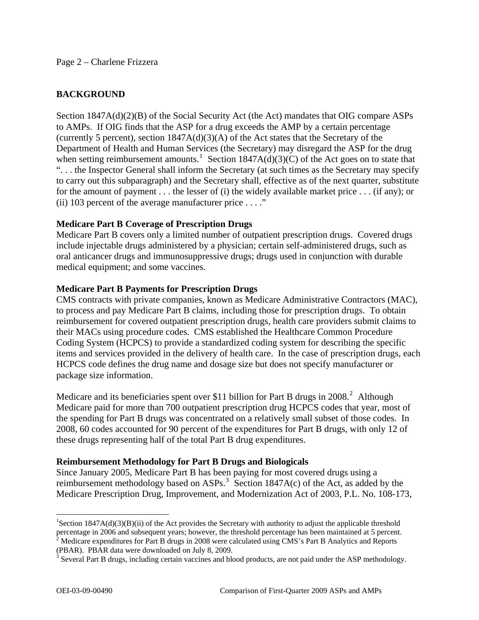#### Page 2 – Charlene Frizzera

## **BACKGROUND**

Section 1847A(d)(2)(B) of the Social Security Act (the Act) mandates that OIG compare ASPs to AMPs. If OIG finds that the ASP for a drug exceeds the AMP by a certain percentage (currently 5 percent), section 1847A(d)(3)(A) of the Act states that the Secretary of the Department of Health and Human Services (the Secretary) may disregard the ASP for the drug when setting reimbursement amounts.<sup>[1](#page-1-0)</sup> Section 1847A(d)(3)(C) of the Act goes on to state that ". . . the Inspector General shall inform the Secretary (at such times as the Secretary may specify to carry out this subparagraph) and the Secretary shall, effective as of the next quarter, substitute for the amount of payment . . . the lesser of (i) the widely available market price . . . (if any); or (ii) 103 percent of the average manufacturer price  $\dots$ ."

### **Medicare Part B Coverage of Prescription Drugs**

Medicare Part B covers only a limited number of outpatient prescription drugs. Covered drugs include injectable drugs administered by a physician; certain self-administered drugs, such as oral anticancer drugs and immunosuppressive drugs; drugs used in conjunction with durable medical equipment; and some vaccines.

### **Medicare Part B Payments for Prescription Drugs**

CMS contracts with private companies, known as Medicare Administrative Contractors (MAC), to process and pay Medicare Part B claims, including those for prescription drugs. To obtain reimbursement for covered outpatient prescription drugs, health care providers submit claims to their MACs using procedure codes. CMS established the Healthcare Common Procedure Coding System (HCPCS) to provide a standardized coding system for describing the specific items and services provided in the delivery of health care. In the case of prescription drugs, each HCPCS code defines the drug name and dosage size but does not specify manufacturer or package size information.

Medicare and its beneficiaries spent over \$11 billion for Part B drugs in [2](#page-1-1)008.<sup>2</sup> Although Medicare paid for more than 700 outpatient prescription drug HCPCS codes that year, most of the spending for Part B drugs was concentrated on a relatively small subset of those codes. In 2008, 60 codes accounted for 90 percent of the expenditures for Part B drugs, with only 12 of these drugs representing half of the total Part B drug expenditures.

### **Reimbursement Methodology for Part B Drugs and Biologicals**

Since January 2005, Medicare Part B has been paying for most covered drugs using a reimbursement methodology based on ASPs.<sup>[3](#page-1-2)</sup> Section 1847A(c) of the Act, as added by the Medicare Prescription Drug, Improvement, and Modernization Act of 2003, P.L. No. 108-173,

<span id="page-1-0"></span><sup>&</sup>lt;sup>1</sup>Section 1847A(d)(3)(B)(ii) of the Act provides the Secretary with authority to adjust the applicable threshold percentage in 2006 and subsequent years; however, the threshold percentage has been maintained at 5 percent.<br><sup>2</sup> Medicare expenditures for Part B drugs in 2008 were calculated using CMS's Part B Analytics and Reports

<span id="page-1-1"></span><sup>(</sup>PBAR). PBAR data were downloaded on July 8, 2009.

<span id="page-1-2"></span> $3$  Several Part B drugs, including certain vaccines and blood products, are not paid under the ASP methodology.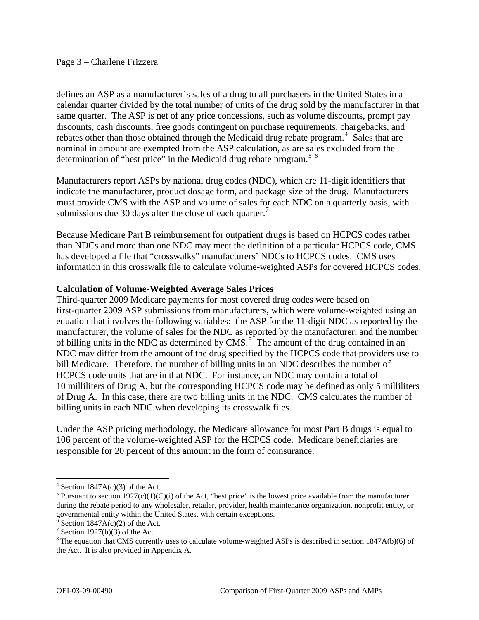#### Page 3 – Charlene Frizzera

defines an ASP as a manufacturer's sales of a drug to all purchasers in the United States in a calendar quarter divided by the total number of units of the drug sold by the manufacturer in that same quarter. The ASP is net of any price concessions, such as volume discounts, prompt pay discounts, cash discounts, free goods contingent on purchase requirements, chargebacks, and rebates other than those obtained through the Medicaid drug rebate program.<sup>[4](#page-2-0)</sup> Sales that are nominal in amount are exempted from the ASP calculation, as are sales excluded from the determination of "best price" in the Medicaid drug rebate program.<sup>[5](#page-2-1)  $6$ </sup>

Manufacturers report ASPs by national drug codes (NDC), which are 11-digit identifiers that indicate the manufacturer, product dosage form, and package size of the drug. Manufacturers must provide CMS with the ASP and volume of sales for each NDC on a quarterly basis, with submissions due 30 days after the close of each quarter. $\frac{7}{1}$  $\frac{7}{1}$  $\frac{7}{1}$ 

Because Medicare Part B reimbursement for outpatient drugs is based on HCPCS codes rather than NDCs and more than one NDC may meet the definition of a particular HCPCS code, CMS has developed a file that "crosswalks" manufacturers' NDCs to HCPCS codes. CMS uses information in this crosswalk file to calculate volume-weighted ASPs for covered HCPCS codes.

### **Calculation of Volume-Weighted Average Sales Prices**

Third-quarter 2009 Medicare payments for most covered drug codes were based on first-quarter 2009 ASP submissions from manufacturers, which were volume-weighted using an equation that involves the following variables: the ASP for the 11-digit NDC as reported by the manufacturer, the volume of sales for the NDC as reported by the manufacturer, and the number of billing units in the NDC as determined by  $CMS^8$  $CMS^8$ . The amount of the drug contained in an NDC may differ from the amount of the drug specified by the HCPCS code that providers use to bill Medicare. Therefore, the number of billing units in an NDC describes the number of HCPCS code units that are in that NDC. For instance, an NDC may contain a total of 10 milliliters of Drug A, but the corresponding HCPCS code may be defined as only 5 milliliters of Drug A. In this case, there are two billing units in the NDC. CMS calculates the number of billing units in each NDC when developing its crosswalk files.

Under the ASP pricing methodology, the Medicare allowance for most Part B drugs is equal to 106 percent of the volume-weighted ASP for the HCPCS code. Medicare beneficiaries are responsible for 20 percent of this amount in the form of coinsurance.

<span id="page-2-0"></span> $4$  Section 1847A(c)(3) of the Act.

<span id="page-2-1"></span><sup>&</sup>lt;sup>5</sup> Pursuant to section 1927(c)(1)(C)(i) of the Act, "best price" is the lowest price available from the manufacturer during the rebate period to any wholesaler, retailer, provider, health maintenance organization, nonprofit entity, or governmental entity within the United States, with certain exceptions.

<span id="page-2-2"></span> $\delta$  Section 1847A(c)(2) of the Act.

<sup>&</sup>lt;sup>7</sup> Section 1927(b)(3) of the Act.

<span id="page-2-4"></span><span id="page-2-3"></span><sup>&</sup>lt;sup>8</sup> The equation that CMS currently uses to calculate volume-weighted ASPs is described in section 1847A(b)(6) of the Act. It is also provided in Appendix A.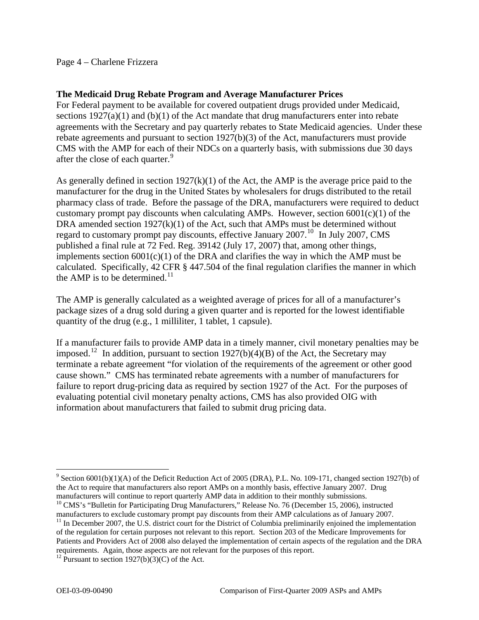### Page 4 – Charlene Frizzera

#### **The Medicaid Drug Rebate Program and Average Manufacturer Prices**

For Federal payment to be available for covered outpatient drugs provided under Medicaid, sections 1927(a)(1) and (b)(1) of the Act mandate that drug manufacturers enter into rebate agreements with the Secretary and pay quarterly rebates to State Medicaid agencies. Under these rebate agreements and pursuant to section 1927(b)(3) of the Act, manufacturers must provide CMS with the AMP for each of their NDCs on a quarterly basis, with submissions due 30 days after the close of each quarter.<sup>[9](#page-3-0)</sup>

As generally defined in section 1927(k)(1) of the Act, the AMP is the average price paid to the manufacturer for the drug in the United States by wholesalers for drugs distributed to the retail pharmacy class of trade. Before the passage of the DRA, manufacturers were required to deduct customary prompt pay discounts when calculating AMPs. However, section  $6001(c)(1)$  of the DRA amended section 1927(k)(1) of the Act, such that AMPs must be determined without regard to customary prompt pay discounts, effective January 2007.<sup>[10](#page-3-1)</sup> In July 2007, CMS published a final rule at 72 Fed. Reg. 39142 (July 17, 2007) that, among other things, implements section  $6001(c)(1)$  of the DRA and clarifies the way in which the AMP must be calculated. Specifically, 42 CFR § 447.504 of the final regulation clarifies the manner in which the AMP is to be determined. $11$ 

The AMP is generally calculated as a weighted average of prices for all of a manufacturer's package sizes of a drug sold during a given quarter and is reported for the lowest identifiable quantity of the drug (e.g., 1 milliliter, 1 tablet, 1 capsule).

If a manufacturer fails to provide AMP data in a timely manner, civil monetary penalties may be imposed.<sup>[12](#page-3-3)</sup> In addition, pursuant to section 1927(b)(4)(B) of the Act, the Secretary may terminate a rebate agreement "for violation of the requirements of the agreement or other good cause shown." CMS has terminated rebate agreements with a number of manufacturers for failure to report drug-pricing data as required by section 1927 of the Act. For the purposes of evaluating potential civil monetary penalty actions, CMS has also provided OIG with information about manufacturers that failed to submit drug pricing data.

<span id="page-3-0"></span><sup>&</sup>lt;sup>9</sup> Section 6001(b)(1)(A) of the Deficit Reduction Act of 2005 (DRA), P.L. No. 109-171, changed section 1927(b) of the Act to require that manufacturers also report AMPs on a monthly basis, effective January 2007. Drug manufacturers will continue to report quarterly AMP data in addition to their monthly submissions.<br><sup>10</sup> CMS's "Bulletin for Participating Drug Manufacturers," Release No. 76 (December 15, 2006), instructed

<span id="page-3-1"></span>manufacturers to exclude customary prompt pay discounts from their AMP calculations as of January 2007.

<span id="page-3-2"></span> $11$  In December 2007, the U.S. district court for the District of Columbia preliminarily enjoined the implementation of the regulation for certain purposes not relevant to this report. Section 203 of the Medicare Improvements for Patients and Providers Act of 2008 also delayed the implementation of certain aspects of the regulation and the DRA requirements. Again, those aspects are not relevant for the purposes of this report. 12 Pursuant to section 1927(b)(3)(C) of the Act.

<span id="page-3-3"></span>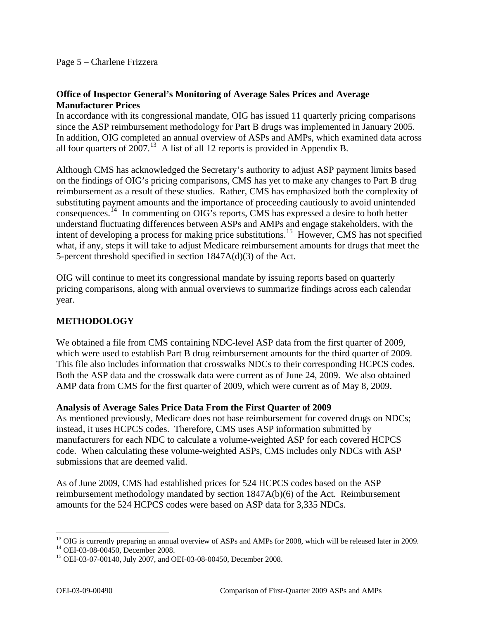## **Office of Inspector General's Monitoring of Average Sales Prices and Average Manufacturer Prices**

In accordance with its congressional mandate, OIG has issued 11 quarterly pricing comparisons since the ASP reimbursement methodology for Part B drugs was implemented in January 2005. In addition, OIG completed an annual overview of ASPs and AMPs, which examined data across all four quarters of  $2007<sup>13</sup>$  $2007<sup>13</sup>$  $2007<sup>13</sup>$  A list of all 12 reports is provided in Appendix B.

Although CMS has acknowledged the Secretary's authority to adjust ASP payment limits based on the findings of OIG's pricing comparisons, CMS has yet to make any changes to Part B drug reimbursement as a result of these studies. Rather, CMS has emphasized both the complexity of substituting payment amounts and the importance of proceeding cautiously to avoid unintended consequences.[14](#page-4-1) In commenting on OIG's reports, CMS has expressed a desire to both better understand fluctuating differences between ASPs and AMPs and engage stakeholders, with the intent of developing a process for making price substitutions.<sup>[15](#page-4-2)</sup> However, CMS has not specified what, if any, steps it will take to adjust Medicare reimbursement amounts for drugs that meet the 5-percent threshold specified in section 1847A(d)(3) of the Act.

OIG will continue to meet its congressional mandate by issuing reports based on quarterly pricing comparisons, along with annual overviews to summarize findings across each calendar year.

# **METHODOLOGY**

We obtained a file from CMS containing NDC-level ASP data from the first quarter of 2009, which were used to establish Part B drug reimbursement amounts for the third quarter of 2009. This file also includes information that crosswalks NDCs to their corresponding HCPCS codes. Both the ASP data and the crosswalk data were current as of June 24, 2009. We also obtained AMP data from CMS for the first quarter of 2009, which were current as of May 8, 2009.

### **Analysis of Average Sales Price Data From the First Quarter of 2009**

As mentioned previously, Medicare does not base reimbursement for covered drugs on NDCs; instead, it uses HCPCS codes. Therefore, CMS uses ASP information submitted by manufacturers for each NDC to calculate a volume-weighted ASP for each covered HCPCS code. When calculating these volume-weighted ASPs, CMS includes only NDCs with ASP submissions that are deemed valid.

As of June 2009, CMS had established prices for 524 HCPCS codes based on the ASP reimbursement methodology mandated by section 1847A(b)(6) of the Act. Reimbursement amounts for the 524 HCPCS codes were based on ASP data for 3,335 NDCs.

<span id="page-4-0"></span> $\overline{a}$ <sup>13</sup> OIG is currently preparing an annual overview of ASPs and AMPs for 2008, which will be released later in 2009.<br><sup>14</sup> OEI-03-08-00450, December 2008.

<span id="page-4-1"></span>

<span id="page-4-2"></span><sup>&</sup>lt;sup>15</sup> OEI-03-07-00140, July 2007, and OEI-03-08-00450, December 2008.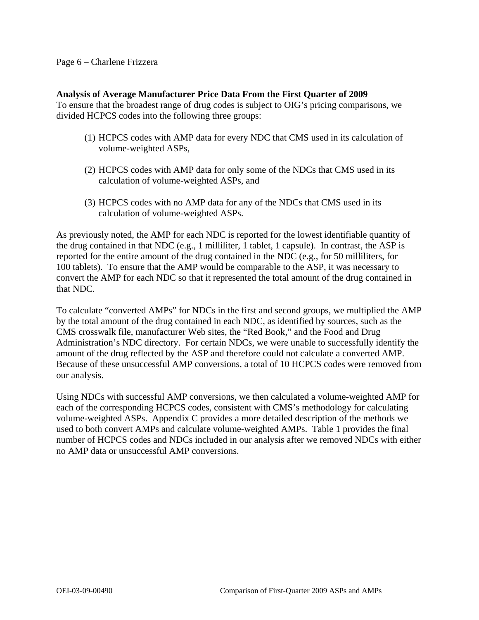#### Page 6 – Charlene Frizzera

#### **Analysis of Average Manufacturer Price Data From the First Quarter of 2009**

To ensure that the broadest range of drug codes is subject to OIG's pricing comparisons, we divided HCPCS codes into the following three groups:

- (1) HCPCS codes with AMP data for every NDC that CMS used in its calculation of volume-weighted ASPs,
- (2) HCPCS codes with AMP data for only some of the NDCs that CMS used in its calculation of volume-weighted ASPs, and
- (3) HCPCS codes with no AMP data for any of the NDCs that CMS used in its calculation of volume-weighted ASPs.

As previously noted, the AMP for each NDC is reported for the lowest identifiable quantity of the drug contained in that NDC (e.g., 1 milliliter, 1 tablet, 1 capsule). In contrast, the ASP is reported for the entire amount of the drug contained in the NDC (e.g., for 50 milliliters, for 100 tablets). To ensure that the AMP would be comparable to the ASP, it was necessary to convert the AMP for each NDC so that it represented the total amount of the drug contained in that NDC.

To calculate "converted AMPs" for NDCs in the first and second groups, we multiplied the AMP by the total amount of the drug contained in each NDC, as identified by sources, such as the CMS crosswalk file, manufacturer Web sites, the "Red Book," and the Food and Drug Administration's NDC directory. For certain NDCs, we were unable to successfully identify the amount of the drug reflected by the ASP and therefore could not calculate a converted AMP. Because of these unsuccessful AMP conversions, a total of 10 HCPCS codes were removed from our analysis.

Using NDCs with successful AMP conversions, we then calculated a volume-weighted AMP for each of the corresponding HCPCS codes, consistent with CMS's methodology for calculating volume-weighted ASPs. Appendix C provides a more detailed description of the methods we used to both convert AMPs and calculate volume-weighted AMPs. Table 1 provides the final number of HCPCS codes and NDCs included in our analysis after we removed NDCs with either no AMP data or unsuccessful AMP conversions.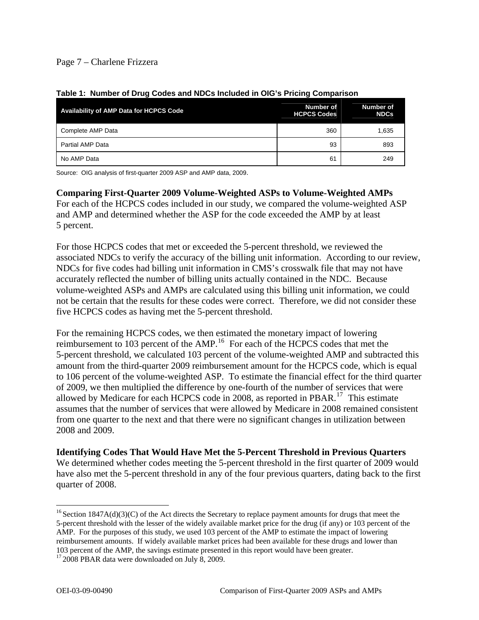## Page 7 – Charlene Frizzera

| <b>Availability of AMP Data for HCPCS Code</b> | Number of<br><b>HCPCS Codes</b> | Number of<br><b>NDCs</b> |
|------------------------------------------------|---------------------------------|--------------------------|
| Complete AMP Data                              | 360                             | 1,635                    |
| Partial AMP Data                               | 93                              | 893                      |
| No AMP Data                                    | 61                              | 249                      |

#### **Table 1: Number of Drug Codes and NDCs Included in OIG's Pricing Comparison**

Source: OIG analysis of first-quarter 2009 ASP and AMP data, 2009.

# **Comparing First-Quarter 2009 Volume-Weighted ASPs to Volume-Weighted AMPs**

For each of the HCPCS codes included in our study, we compared the volume-weighted ASP and AMP and determined whether the ASP for the code exceeded the AMP by at least 5 percent.

For those HCPCS codes that met or exceeded the 5-percent threshold, we reviewed the associated NDCs to verify the accuracy of the billing unit information. According to our review, NDCs for five codes had billing unit information in CMS's crosswalk file that may not have accurately reflected the number of billing units actually contained in the NDC. Because volume-weighted ASPs and AMPs are calculated using this billing unit information, we could not be certain that the results for these codes were correct. Therefore, we did not consider these five HCPCS codes as having met the 5-percent threshold.

For the remaining HCPCS codes, we then estimated the monetary impact of lowering reimbursement to 103 percent of the AMP.[16](#page-6-0) For each of the HCPCS codes that met the 5-percent threshold, we calculated 103 percent of the volume-weighted AMP and subtracted this amount from the third-quarter 2009 reimbursement amount for the HCPCS code, which is equal to 106 percent of the volume-weighted ASP. To estimate the financial effect for the third quarter of 2009, we then multiplied the difference by one-fourth of the number of services that were allowed by Medicare for each HCPCS code in 2008, as reported in PBAR.<sup>[17](#page-6-1)</sup> This estimate assumes that the number of services that were allowed by Medicare in 2008 remained consistent from one quarter to the next and that there were no significant changes in utilization between 2008 and 2009.

**Identifying Codes That Would Have Met the 5-Percent Threshold in Previous Quarters**  We determined whether codes meeting the 5-percent threshold in the first quarter of 2009 would have also met the 5-percent threshold in any of the four previous quarters, dating back to the first quarter of 2008.

<span id="page-6-0"></span> $\overline{a}$  $16$  Section 1847A(d)(3)(C) of the Act directs the Secretary to replace payment amounts for drugs that meet the 5-percent threshold with the lesser of the widely available market price for the drug (if any) or 103 percent of the AMP. For the purposes of this study, we used 103 percent of the AMP to estimate the impact of lowering reimbursement amounts. If widely available market prices had been available for these drugs and lower than

<sup>103</sup> percent of the AMP, the savings estimate presented in this report would have been greater.

<span id="page-6-1"></span> $172008$  PBAR data were downloaded on July 8, 2009.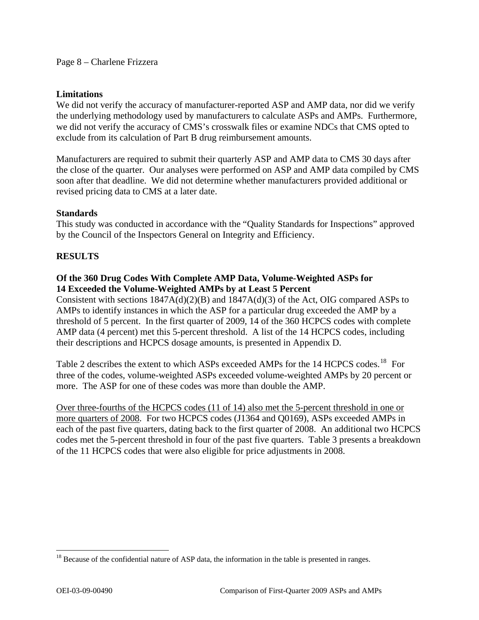#### **Limitations**

We did not verify the accuracy of manufacturer-reported ASP and AMP data, nor did we verify the underlying methodology used by manufacturers to calculate ASPs and AMPs. Furthermore, we did not verify the accuracy of CMS's crosswalk files or examine NDCs that CMS opted to exclude from its calculation of Part B drug reimbursement amounts.

Manufacturers are required to submit their quarterly ASP and AMP data to CMS 30 days after the close of the quarter. Our analyses were performed on ASP and AMP data compiled by CMS soon after that deadline. We did not determine whether manufacturers provided additional or revised pricing data to CMS at a later date.

### **Standards**

This study was conducted in accordance with the "Quality Standards for Inspections" approved by the Council of the Inspectors General on Integrity and Efficiency.

### **RESULTS**

### **Of the 360 Drug Codes With Complete AMP Data, Volume-Weighted ASPs for 14 Exceeded the Volume-Weighted AMPs by at Least 5 Percent**

Consistent with sections 1847A(d)(2)(B) and 1847A(d)(3) of the Act, OIG compared ASPs to AMPs to identify instances in which the ASP for a particular drug exceeded the AMP by a threshold of 5 percent. In the first quarter of 2009, 14 of the 360 HCPCS codes with complete AMP data (4 percent) met this 5-percent threshold. A list of the 14 HCPCS codes, including their descriptions and HCPCS dosage amounts, is presented in Appendix D.

Table 2 describes the extent to which ASPs exceeded AMPs for the 14 HCPCS codes.<sup>[18](#page-7-0)</sup> For three of the codes, volume-weighted ASPs exceeded volume-weighted AMPs by 20 percent or more. The ASP for one of these codes was more than double the AMP.

Over three-fourths of the HCPCS codes (11 of 14) also met the 5-percent threshold in one or more quarters of 2008. For two HCPCS codes (J1364 and Q0169), ASPs exceeded AMPs in each of the past five quarters, dating back to the first quarter of 2008. An additional two HCPCS codes met the 5-percent threshold in four of the past five quarters. Table 3 presents a breakdown of the 11 HCPCS codes that were also eligible for price adjustments in 2008.

<span id="page-7-0"></span> $18$  Because of the confidential nature of ASP data, the information in the table is presented in ranges.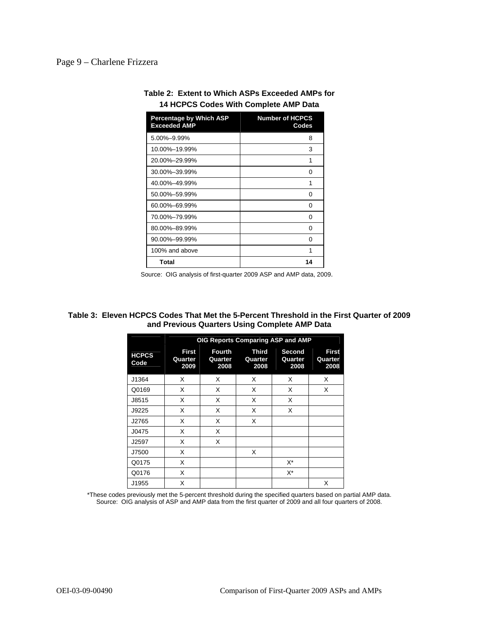### Page 9 – Charlene Frizzera

| <b>Percentage by Which ASP</b><br><b>Exceeded AMP</b> | <b>Number of HCPCS</b><br>Codes |
|-------------------------------------------------------|---------------------------------|
| 5.00%-9.99%                                           | 8                               |
| 10.00%-19.99%                                         | 3                               |
| 20.00%-29.99%                                         | 1                               |
| 30.00%-39.99%                                         | O                               |
| 40.00%-49.99%                                         | 1                               |
| 50.00%-59.99%                                         | O                               |
| 60.00%-69.99%                                         | 0                               |
| 70.00%-79.99%                                         | 0                               |
| 80.00%-89.99%                                         | O                               |
| 90.00%-99.99%                                         | O                               |
| 100% and above                                        | 1                               |
| Total                                                 | 14                              |

| Table 2: Extent to Which ASPs Exceeded AMPs for |  |
|-------------------------------------------------|--|
| 14 HCPCS Codes With Complete AMP Data           |  |

Source: OIG analysis of first-quarter 2009 ASP and AMP data, 2009.

#### **Table 3: Eleven HCPCS Codes That Met the 5-Percent Threshold in the First Quarter of 2009 and Previous Quarters Using Complete AMP Data**

|                      | OIG Reports Comparing ASP and AMP |                           |                          |                           |                                 |
|----------------------|-----------------------------------|---------------------------|--------------------------|---------------------------|---------------------------------|
| <b>HCPCS</b><br>Code | <b>First</b><br>Quarter<br>2009   | Fourth<br>Quarter<br>2008 | Third<br>Quarter<br>2008 | Second<br>Quarter<br>2008 | <b>First</b><br>Quarter<br>2008 |
| J1364                | X                                 | X                         | X                        | X                         | X                               |
| Q0169                | X                                 | X                         | X                        | X                         | X                               |
| J8515                | X                                 | X                         | X                        | X                         |                                 |
| J9225                | X                                 | X                         | X                        | X                         |                                 |
| J2765                | X                                 | X                         | X                        |                           |                                 |
| J0475                | X                                 | X                         |                          |                           |                                 |
| J2597                | X                                 | X                         |                          |                           |                                 |
| J7500                | X                                 |                           | X                        |                           |                                 |
| Q0175                | X                                 |                           |                          | $X^*$                     |                                 |
| Q0176                | X                                 |                           |                          | $X^*$                     |                                 |
| J1955                | X                                 |                           |                          |                           | X                               |

\*These codes previously met the 5-percent threshold during the specified quarters based on partial AMP data. Source: OIG analysis of ASP and AMP data from the first quarter of 2009 and all four quarters of 2008.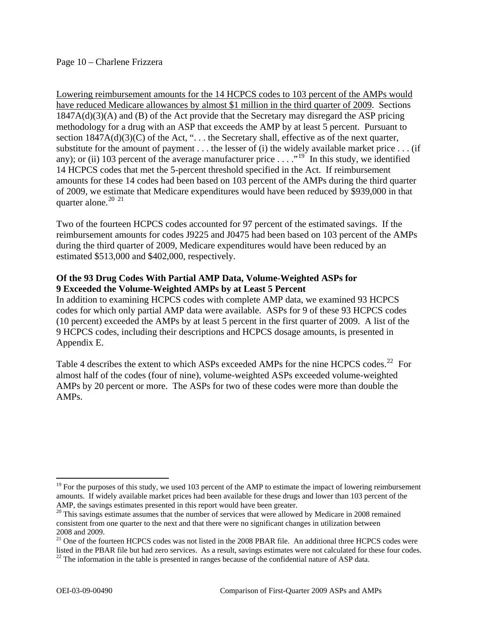### Page 10 – Charlene Frizzera

Lowering reimbursement amounts for the 14 HCPCS codes to 103 percent of the AMPs would have reduced Medicare allowances by almost \$1 million in the third quarter of 2009. Sections 1847A(d)(3)(A) and (B) of the Act provide that the Secretary may disregard the ASP pricing methodology for a drug with an ASP that exceeds the AMP by at least 5 percent. Pursuant to section  $1847A(d)(3)(C)$  of the Act, "... the Secretary shall, effective as of the next quarter, substitute for the amount of payment . . . the lesser of (i) the widely available market price . . . (if any); or (ii) 103 percent of the average manufacturer price  $\dots$ ."<sup>[19](#page-9-0)</sup> In this study, we identified 14 HCPCS codes that met the 5-percent threshold specified in the Act. If reimbursement amounts for these 14 codes had been based on 103 percent of the AMPs during the third quarter of 2009, we estimate that Medicare expenditures would have been reduced by \$939,000 in that quarter alone.<sup>[20](#page-9-1) [21](#page-9-2)</sup>

Two of the fourteen HCPCS codes accounted for 97 percent of the estimated savings. If the reimbursement amounts for codes J9225 and J0475 had been based on 103 percent of the AMPs during the third quarter of 2009, Medicare expenditures would have been reduced by an estimated \$513,000 and \$402,000, respectively.

### **Of the 93 Drug Codes With Partial AMP Data, Volume-Weighted ASPs for 9 Exceeded the Volume-Weighted AMPs by at Least 5 Percent**

In addition to examining HCPCS codes with complete AMP data, we examined 93 HCPCS codes for which only partial AMP data were available. ASPs for 9 of these 93 HCPCS codes (10 percent) exceeded the AMPs by at least 5 percent in the first quarter of 2009. A list of the 9 HCPCS codes, including their descriptions and HCPCS dosage amounts, is presented in Appendix E.

Table 4 describes the extent to which ASPs exceeded AMPs for the nine HCPCS codes.<sup>[22](#page-9-3)</sup> For almost half of the codes (four of nine), volume-weighted ASPs exceeded volume-weighted AMPs by 20 percent or more. The ASPs for two of these codes were more than double the AMPs.

1

<span id="page-9-0"></span> $19$  For the purposes of this study, we used 103 percent of the AMP to estimate the impact of lowering reimbursement amounts. If widely available market prices had been available for these drugs and lower than 103 percent of the

<span id="page-9-1"></span>AMP, the savings estimates presented in this report would have been greater.<br><sup>20</sup> This savings estimate assumes that the number of services that were allowed by Medicare in 2008 remained consistent from one quarter to the next and that there were no significant changes in utilization between 2008 and 2009.

<span id="page-9-3"></span><span id="page-9-2"></span><sup>&</sup>lt;sup>21</sup> One of the fourteen HCPCS codes was not listed in the 2008 PBAR file. An additional three HCPCS codes were listed in the PBAR file but had zero services. As a result, savings estimates were not calculated for these four codes. 22 The information in the table is presented in ranges because of the confidential nature of ASP data.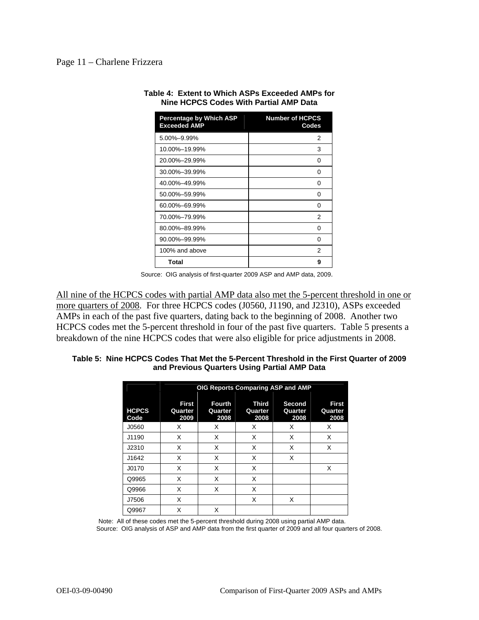#### Page 11 – Charlene Frizzera

| <b>Percentage by Which ASP</b><br><b>Exceeded AMP</b> | <b>Number of HCPCS</b><br>Codes |
|-------------------------------------------------------|---------------------------------|
| 5.00%-9.99%                                           | 2                               |
| 10.00%-19.99%                                         | 3                               |
| 20.00%-29.99%                                         | ŋ                               |
| 30.00%-39.99%                                         | O                               |
| 40.00%-49.99%                                         | 0                               |
| 50.00%-59.99%                                         | O                               |
| 60.00%-69.99%                                         | ŋ                               |
| 70.00%-79.99%                                         | 2                               |
| 80.00%-89.99%                                         | 0                               |
| 90.00%-99.99%                                         | ŋ                               |
| 100% and above                                        | 2                               |
| Total                                                 | 9                               |

**Table 4: Extent to Which ASPs Exceeded AMPs for Nine HCPCS Codes With Partial AMP Data** 

Source: OIG analysis of first-quarter 2009 ASP and AMP data, 2009.

All nine of the HCPCS codes with partial AMP data also met the 5-percent threshold in one or more quarters of 2008. For three HCPCS codes (J0560, J1190, and J2310), ASPs exceeded AMPs in each of the past five quarters, dating back to the beginning of 2008. Another two HCPCS codes met the 5-percent threshold in four of the past five quarters. Table 5 presents a breakdown of the nine HCPCS codes that were also eligible for price adjustments in 2008.

#### **Table 5: Nine HCPCS Codes That Met the 5-Percent Threshold in the First Quarter of 2009 and Previous Quarters Using Partial AMP Data**

|                      | OIG Reports Comparing ASP and AMP |                                  |                          |                           |                          |
|----------------------|-----------------------------------|----------------------------------|--------------------------|---------------------------|--------------------------|
| <b>HCPCS</b><br>Code | First<br>Quarter<br>2009          | <b>Fourth</b><br>Quarter<br>2008 | Third<br>Quarter<br>2008 | Second<br>Quarter<br>2008 | First<br>Quarter<br>2008 |
| J0560                | x                                 | Х                                | X                        | X                         | X                        |
| J1190                | X                                 | X                                | X                        | X                         | X                        |
| J2310                | X                                 | X                                | X                        | X                         | X                        |
| J1642                | X                                 | X                                | X                        | X                         |                          |
| J0170                | X                                 | X                                | X                        |                           | X                        |
| Q9965                | X                                 | X                                | X                        |                           |                          |
| Q9966                | X                                 | X                                | X                        |                           |                          |
| J7506                | X                                 |                                  | X                        | X                         |                          |
| Q9967                | X                                 | X                                |                          |                           |                          |

Note: All of these codes met the 5-percent threshold during 2008 using partial AMP data. Source: OIG analysis of ASP and AMP data from the first quarter of 2009 and all four quarters of 2008.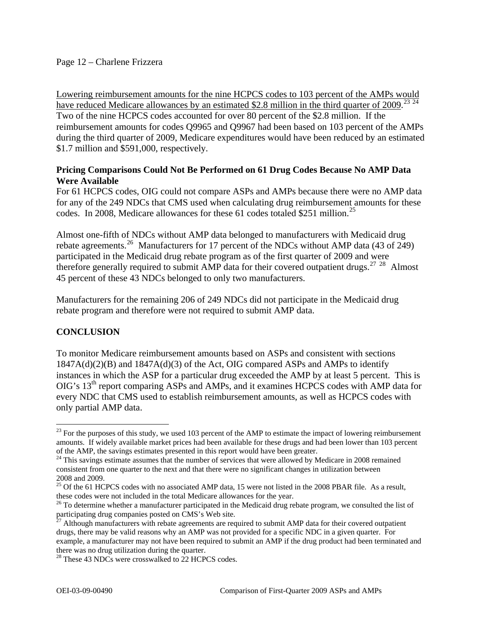### Page 12 – Charlene Frizzera

Lowering reimbursement amounts for the nine HCPCS codes to 103 percent of the AMPs would have reduced Medicare allowances by an estimated \$2.8 million in the third quarter of 2009.<sup>[23](#page-11-0)</sup> Two of the nine HCPCS codes accounted for over 80 percent of the \$2.8 million. If the reimbursement amounts for codes Q9965 and Q9967 had been based on 103 percent of the AMPs during the third quarter of 2009, Medicare expenditures would have been reduced by an estimated \$1.7 million and \$591,000, respectively.

### **Pricing Comparisons Could Not Be Performed on 61 Drug Codes Because No AMP Data Were Available**

For 61 HCPCS codes, OIG could not compare ASPs and AMPs because there were no AMP data for any of the 249 NDCs that CMS used when calculating drug reimbursement amounts for these codes. In 2008, Medicare allowances for these 61 codes totaled \$[25](#page-11-2)1 million.<sup>25</sup>

Almost one-fifth of NDCs without AMP data belonged to manufacturers with Medicaid drug rebate agreements.<sup>[26](#page-11-3)</sup> Manufacturers for 17 percent of the NDCs without AMP data (43 of 249) participated in the Medicaid drug rebate program as of the first quarter of 2009 and were therefore generally required to submit AMP data for their covered outpatient drugs.<sup>[27](#page-11-4)</sup>  $^{28}$  $^{28}$  $^{28}$  Almost 45 percent of these 43 NDCs belonged to only two manufacturers.

Manufacturers for the remaining 206 of 249 NDCs did not participate in the Medicaid drug rebate program and therefore were not required to submit AMP data.

## **CONCLUSION**

1

To monitor Medicare reimbursement amounts based on ASPs and consistent with sections  $1847A(d)(2)(B)$  and  $1847A(d)(3)$  of the Act, OIG compared ASPs and AMPs to identify instances in which the ASP for a particular drug exceeded the AMP by at least 5 percent. This is OIG's 13th report comparing ASPs and AMPs, and it examines HCPCS codes with AMP data for every NDC that CMS used to establish reimbursement amounts, as well as HCPCS codes with only partial AMP data.

<span id="page-11-0"></span> $^{23}$  For the purposes of this study, we used 103 percent of the AMP to estimate the impact of lowering reimbursement amounts. If widely available market prices had been available for these drugs and had been lower than 103 percent of the AMP, the savings estimates presented in this report would have been greater.

<span id="page-11-1"></span><sup>&</sup>lt;sup>24</sup> This savings estimate assumes that the number of services that were allowed by Medicare in 2008 remained consistent from one quarter to the next and that there were no significant changes in utilization between 2008 and 2009.

<span id="page-11-2"></span><sup>&</sup>lt;sup>25</sup> Of the 61 HCPCS codes with no associated AMP data, 15 were not listed in the 2008 PBAR file. As a result, these codes were not included in the total Medicare allowances for the year.<br><sup>26</sup> To determine whether a manufacturer participated in the Medicaid drug rebate program, we consulted the list of

<span id="page-11-3"></span>participating drug companies posted on CMS's Web site.

<span id="page-11-4"></span> $^{27}$  Although manufacturers with rebate agreements are required to submit AMP data for their covered outpatient drugs, there may be valid reasons why an AMP was not provided for a specific NDC in a given quarter. For example, a manufacturer may not have been required to submit an AMP if the drug product had been terminated and there was no drug utilization during the quarter.

<span id="page-11-5"></span><sup>&</sup>lt;sup>28</sup> These 43 NDCs were crosswalked to 22 HCPCS codes.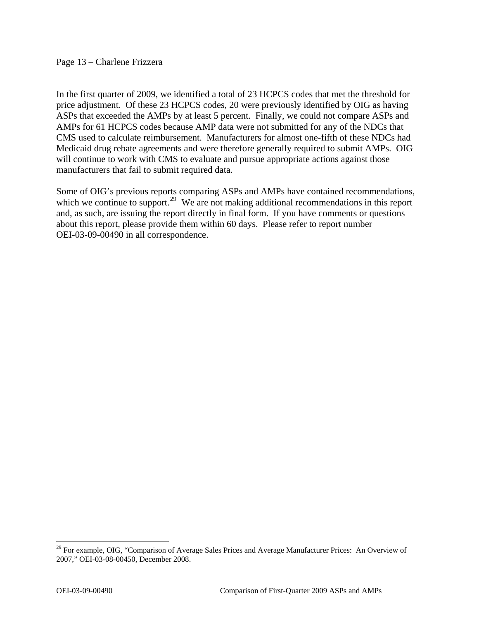#### Page 13 – Charlene Frizzera

In the first quarter of 2009, we identified a total of 23 HCPCS codes that met the threshold for price adjustment. Of these 23 HCPCS codes, 20 were previously identified by OIG as having ASPs that exceeded the AMPs by at least 5 percent. Finally, we could not compare ASPs and AMPs for 61 HCPCS codes because AMP data were not submitted for any of the NDCs that CMS used to calculate reimbursement. Manufacturers for almost one-fifth of these NDCs had Medicaid drug rebate agreements and were therefore generally required to submit AMPs. OIG will continue to work with CMS to evaluate and pursue appropriate actions against those manufacturers that fail to submit required data.

Some of OIG's previous reports comparing ASPs and AMPs have contained recommendations, which we continue to support.<sup>[29](#page-12-0)</sup> We are not making additional recommendations in this report and, as such, are issuing the report directly in final form. If you have comments or questions about this report, please provide them within 60 days. Please refer to report number OEI-03-09-00490 in all correspondence.

<span id="page-12-0"></span><sup>&</sup>lt;sup>29</sup> For example, OIG, "Comparison of Average Sales Prices and Average Manufacturer Prices: An Overview of 2007," OEI-03-08-00450, December 2008.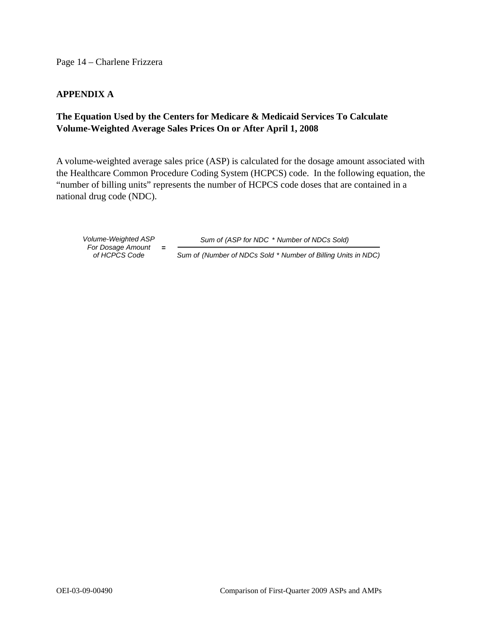Page 14 – Charlene Frizzera

### **APPENDIX A**

# **The Equation Used by the Centers for Medicare & Medicaid Services To Calculate Volume-Weighted Average Sales Prices On or After April 1, 2008**

A volume-weighted average sales price (ASP) is calculated for the dosage amount associated with the Healthcare Common Procedure Coding System (HCPCS) code. In the following equation, the "number of billing units" represents the number of HCPCS code doses that are contained in a national drug code (NDC).

*of HCPCS Co de For Dosage Amount*  **=** 

*Volume-Weighted ASP Sum of (ASP for NDC* \* *Number of NDCs Sold)*

*Sum of (Number of NDCs Sold* \* *Number of Billing Units in NDC)*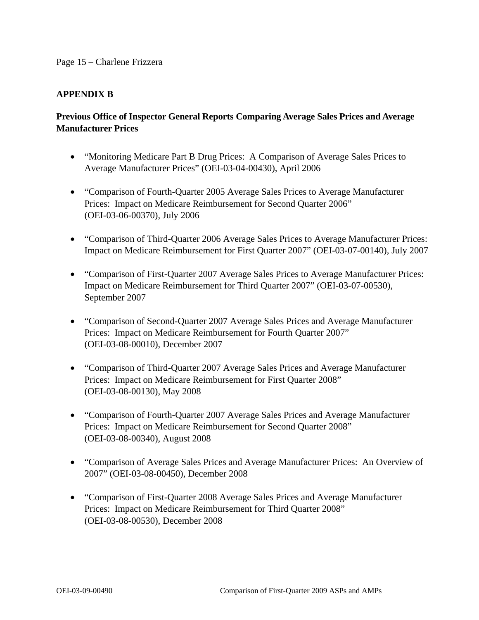#### Page 15 – Charlene Frizzera

### **APPENDIX B**

# **Previous Office of Inspector General Reports Comparing Average Sales Prices and Average Manufacturer Prices**

- "Monitoring Medicare Part B Drug Prices: A Comparison of Average Sales Prices to Average Manufacturer Prices" (OEI-03-04-00430), April 2006
- "Comparison of Fourth-Quarter 2005 Average Sales Prices to Average Manufacturer Prices: Impact on Medicare Reimbursement for Second Quarter 2006" (OEI-03-06-00370), July 2006
- "Comparison of Third-Quarter 2006 Average Sales Prices to Average Manufacturer Prices: Impact on Medicare Reimbursement for First Quarter 2007" (OEI-03-07-00140), July 2007
- "Comparison of First-Quarter 2007 Average Sales Prices to Average Manufacturer Prices: Impact on Medicare Reimbursement for Third Quarter 2007" (OEI-03-07-00530), September 2007
- "Comparison of Second-Quarter 2007 Average Sales Prices and Average Manufacturer Prices: Impact on Medicare Reimbursement for Fourth Quarter 2007" (OEI-03-08-00010), December 2007
- "Comparison of Third-Quarter 2007 Average Sales Prices and Average Manufacturer Prices: Impact on Medicare Reimbursement for First Quarter 2008" (OEI-03-08-00130), May 2008
- "Comparison of Fourth-Quarter 2007 Average Sales Prices and Average Manufacturer Prices: Impact on Medicare Reimbursement for Second Quarter 2008" (OEI-03-08-00340), August 2008
- "Comparison of Average Sales Prices and Average Manufacturer Prices: An Overview of 2007" (OEI-03-08-00450), December 2008
- "Comparison of First-Quarter 2008 Average Sales Prices and Average Manufacturer Prices: Impact on Medicare Reimbursement for Third Quarter 2008" (OEI-03-08-00530), December 2008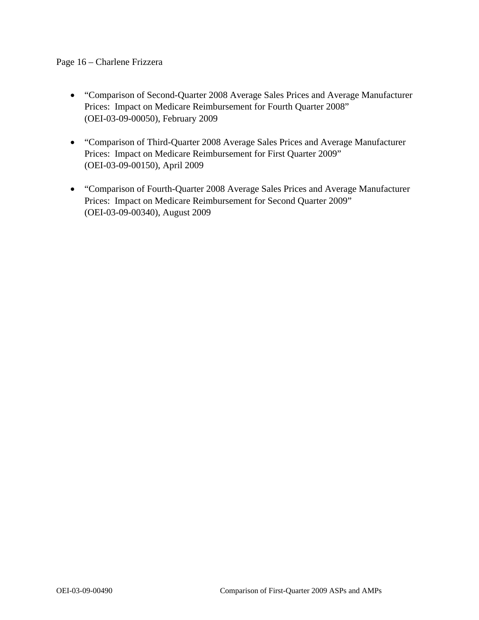### Page 16 – Charlene Frizzera

- "Comparison of Second-Quarter 2008 Average Sales Prices and Average Manufacturer Prices: Impact on Medicare Reimbursement for Fourth Quarter 2008" (OEI-03-09-00050), February 2009
- "Comparison of Third-Quarter 2008 Average Sales Prices and Average Manufacturer Prices: Impact on Medicare Reimbursement for First Quarter 2009" (OEI-03-09-00150), April 2009
- "Comparison of Fourth-Quarter 2008 Average Sales Prices and Average Manufacturer Prices: Impact on Medicare Reimbursement for Second Quarter 2009" (OEI-03-09-00340), August 2009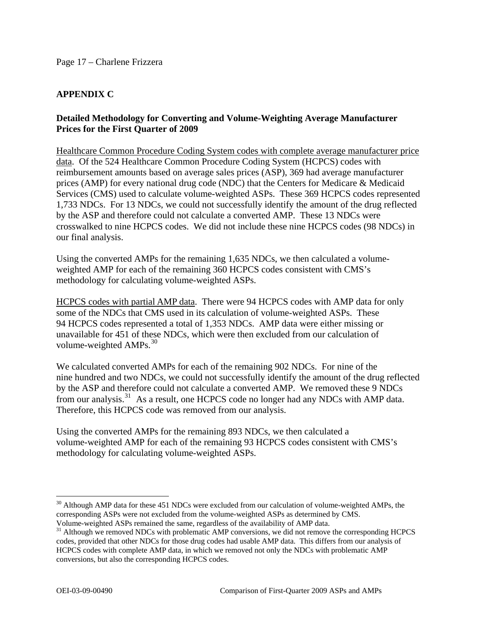# **APPENDIX C**

### **Detailed Methodology for Converting and Volume-Weighting Average Manufacturer Prices for the First Quarter of 2009**

Healthcare Common Procedure Coding System codes with complete average manufacturer price data. Of the 524 Healthcare Common Procedure Coding System (HCPCS) codes with reimbursement amounts based on average sales prices (ASP), 369 had average manufacturer prices (AMP) for every national drug code (NDC) that the Centers for Medicare & Medicaid Services (CMS) used to calculate volume-weighted ASPs. These 369 HCPCS codes represented 1,733 NDCs. For 13 NDCs, we could not successfully identify the amount of the drug reflected by the ASP and therefore could not calculate a converted AMP. These 13 NDCs were crosswalked to nine HCPCS codes. We did not include these nine HCPCS codes (98 NDCs) in our final analysis.

Using the converted AMPs for the remaining 1,635 NDCs, we then calculated a volumeweighted AMP for each of the remaining 360 HCPCS codes consistent with CMS's methodology for calculating volume-weighted ASPs.

HCPCS codes with partial AMP data. There were 94 HCPCS codes with AMP data for only some of the NDCs that CMS used in its calculation of volume-weighted ASPs. These 94 HCPCS codes represented a total of 1,353 NDCs. AMP data were either missing or unavailable for 451 of these NDCs, which were then excluded from our calculation of volume-weighted  $AMPs.<sup>30</sup>$  $AMPs.<sup>30</sup>$  $AMPs.<sup>30</sup>$ 

We calculated converted AMPs for each of the remaining 902 NDCs. For nine of the nine hundred and two NDCs, we could not successfully identify the amount of the drug reflected by the ASP and therefore could not calculate a converted AMP. We removed these 9 NDCs from our analysis.<sup>[31](#page-16-1)</sup> As a result, one HCPCS code no longer had any NDCs with AMP data. Therefore, this HCPCS code was removed from our analysis.

Using the converted AMPs for the remaining 893 NDCs, we then calculated a volume-weighted AMP for each of the remaining 93 HCPCS codes consistent with CMS's methodology for calculating volume-weighted ASPs.

<u>.</u>

<span id="page-16-0"></span><sup>&</sup>lt;sup>30</sup> Although AMP data for these 451 NDCs were excluded from our calculation of volume-weighted AMPs, the corresponding ASPs were not excluded from the volume-weighted ASPs as determined by CMS. Volume-weighted ASPs remained the same, regardless of the availability of AMP data.

<span id="page-16-1"></span><sup>&</sup>lt;sup>31</sup> Although we removed NDCs with problematic AMP conversions, we did not remove the corresponding HCPCS codes, provided that other NDCs for those drug codes had usable AMP data. This differs from our analysis of HCPCS codes with complete AMP data, in which we removed not only the NDCs with problematic AMP conversions, but also the corresponding HCPCS codes.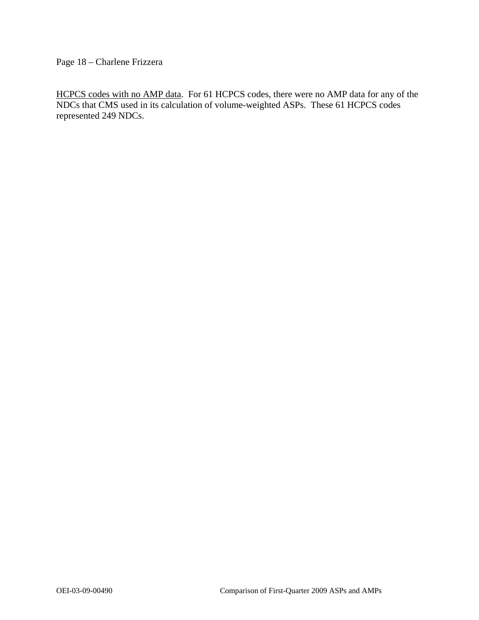Page 18 – Charlene Frizzera

HCPCS codes with no AMP data. For 61 HCPCS codes, there were no AMP data for any of the NDCs that CMS used in its calculation of volume-weighted ASPs. These 61 HCPCS codes represented 249 NDCs.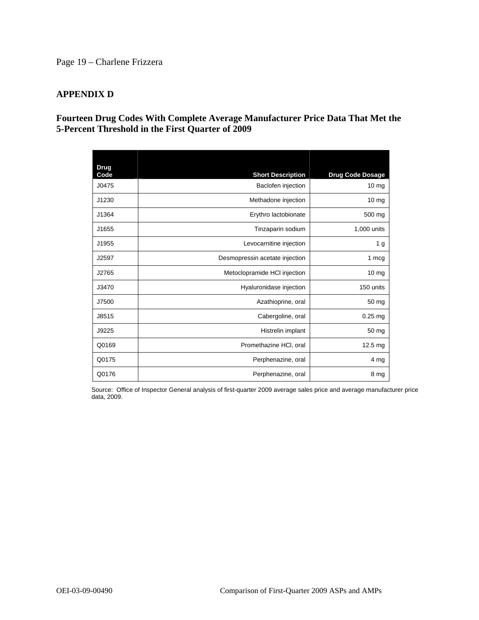# Page 19 – Charlene Frizzera

### **APPENDIX D**

### **Fourteen Drug Codes With Complete Average Manufacturer Price Data That Met the 5-Percent Threshold in the First Quarter of 2009**

| Drug<br>Code | <b>Short Description</b>       | <b>Drug Code Dosage</b> |
|--------------|--------------------------------|-------------------------|
| J0475        | Baclofen injection             | $10 \text{ mg}$         |
| J1230        | Methadone injection            | 10 <sub>mg</sub>        |
| J1364        | Erythro lactobionate           | 500 mg                  |
| J1655        | Tinzaparin sodium              | 1,000 units             |
| J1955        | Levocarnitine injection        | 1 g                     |
| J2597        | Desmopressin acetate injection | 1 mcg                   |
| J2765        | Metoclopramide HCI injection   | $10 \text{ mg}$         |
| J3470        | Hyaluronidase injection        | 150 units               |
| J7500        | Azathioprine, oral             | 50 mg                   |
| J8515        | Cabergoline, oral              | $0.25$ mg               |
| J9225        | Histrelin implant              | 50 mg                   |
| Q0169        | Promethazine HCI, oral         | $12.5 \text{ mg}$       |
| Q0175        | Perphenazine, oral             | 4 mg                    |
| Q0176        | Perphenazine, oral             | 8 mg                    |

Source: Office of Inspector General analysis of first-quarter 2009 average sales price and average manufacturer price data, 2009.